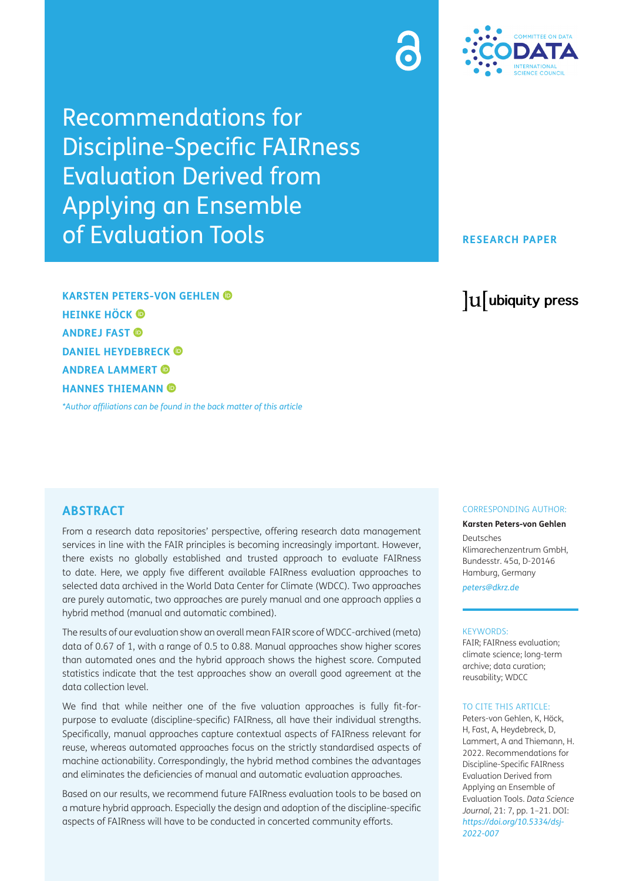Recommendations for Discipline-Specific FAIRness Evaluation Derived from Applying an Ensemble of Evaluation Tools

**KARSTEN PETERS-VON GEHLEN HEINKE HÖCK ANDREJ FAST DANIEL HEYDEBRECK ANDREA LAMMERT HANNES THIEMANN**

*[\\*Author affiliations can be found in the back matter of this article](#page-17-0)*

## **ABSTRACT**

From a research data repositories' perspective, offering research data management services in line with the FAIR principles is becoming increasingly important. However, there exists no globally established and trusted approach to evaluate FAIRness to date. Here, we apply five different available FAIRness evaluation approaches to selected data archived in the World Data Center for Climate (WDCC). Two approaches are purely automatic, two approaches are purely manual and one approach applies a hybrid method (manual and automatic combined).

The results of our evaluation show an overall mean FAIR score of WDCC-archived (meta) data of 0.67 of 1, with a range of 0.5 to 0.88. Manual approaches show higher scores than automated ones and the hybrid approach shows the highest score. Computed statistics indicate that the test approaches show an overall good agreement at the data collection level.

We find that while neither one of the five valuation approaches is fully fit-forpurpose to evaluate (discipline-specific) FAIRness, all have their individual strengths. Specifically, manual approaches capture contextual aspects of FAIRness relevant for reuse, whereas automated approaches focus on the strictly standardised aspects of machine actionability. Correspondingly, the hybrid method combines the advantages and eliminates the deficiencies of manual and automatic evaluation approaches.

Based on our results, we recommend future FAIRness evaluation tools to be based on a mature hybrid approach. Especially the design and adoption of the discipline-specific aspects of FAIRness will have to be conducted in concerted community efforts.

#### CORRESPONDING AUTHOR:

#### **Karsten Peters-von Gehlen**

Deutsches Klimarechenzentrum GmbH, Bundesstr. 45a, D-20146 Hamburg, Germany

*[peters@dkrz.de](mailto:peters@dkrz.de)*

#### KEYWORDS:

FAIR; FAIRness evaluation; climate science; long-term archive; data curation; reusability; WDCC

#### TO CITE THIS ARTICLE:

Peters-von Gehlen, K, Höck, H, Fast, A, Heydebreck, D, Lammert, A and Thiemann, H. 2022. Recommendations for Discipline-Specific FAIRness Evaluation Derived from Applying an Ensemble of Evaluation Tools. *Data Science Journal*, 21: 7, pp. 1–21. DOI: *[https://doi.org/10.5334/dsj-](https://doi.org/10.5334/dsj-2022-007)[2022-007](https://doi.org/10.5334/dsj-2022-007)*



### **RESEARCH PAPER**

# lu ubiquity press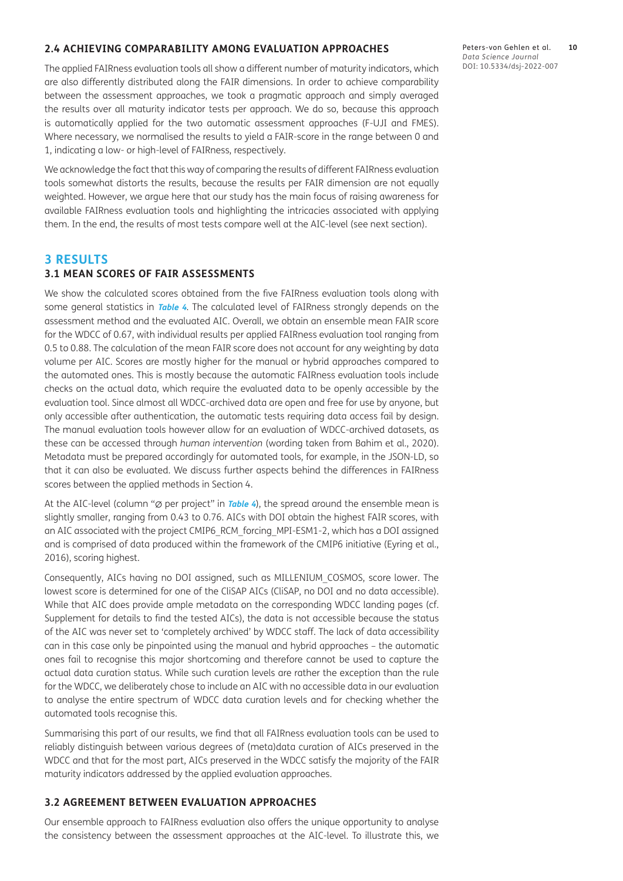#### **2.4 ACHIEVING COMPARABILITY AMONG EVALUATION APPROACHES**

The applied FAIRness evaluation tools all show a different number of maturity indicators, which are also differently distributed along the FAIR dimensions. In order to achieve comparability between the assessment approaches, we took a pragmatic approach and simply averaged the results over all maturity indicator tests per approach. We do so, because this approach is automatically applied for the two automatic assessment approaches (F-UJI and FMES). Where necessary, we normalised the results to yield a FAIR-score in the range between 0 and 1, indicating a low- or high-level of FAIRness, respectively.

We acknowledge the fact that this way of comparing the results of different FAIRness evaluation tools somewhat distorts the results, because the results per FAIR dimension are not equally weighted. However, we argue here that our study has the main focus of raising awareness for available FAIRness evaluation tools and highlighting the intricacies associated with applying them. In the end, the results of most tests compare well at the AIC-level (see next section).

### **3 RESULTS**

## **3.1 MEAN SCORES OF FAIR ASSESSMENTS**

We show the calculated scores obtained from the five FAIRness evaluation tools along with some general statistics in **[Table 4](#page-10-0)**. The calculated level of FAIRness strongly depends on the assessment method and the evaluated AIC. Overall, we obtain an ensemble mean FAIR score for the WDCC of 0.67, with individual results per applied FAIRness evaluation tool ranging from 0.5 to 0.88. The calculation of the mean FAIR score does not account for any weighting by data volume per AIC. Scores are mostly higher for the manual or hybrid approaches compared to the automated ones. This is mostly because the automatic FAIRness evaluation tools include checks on the actual data, which require the evaluated data to be openly accessible by the evaluation tool. Since almost all WDCC-archived data are open and free for use by anyone, but only accessible after authentication, the automatic tests requiring data access fail by design. The manual evaluation tools however allow for an evaluation of WDCC-archived datasets, as these can be accessed through *human intervention* (wording taken from [Bahim et al., 2020](#page-17-1)). Metadata must be prepared accordingly for automated tools, for example, in the JSON-LD, so that it can also be evaluated. We discuss further aspects behind the differences in FAIRness scores between the applied methods in Section 4.

At the AIC-level (column "∅ per project" in **[Table 4](#page-10-0)**), the spread around the ensemble mean is slightly smaller, ranging from 0.43 to 0.76. AICs with DOI obtain the highest FAIR scores, with an AIC associated with the project CMIP6\_RCM\_forcing\_MPI-ESM1-2, which has a DOI assigned and is comprised of data produced within the framework of the CMIP6 initiative [\(Eyring et al.,](#page-18-0)  [2016](#page-18-0)), scoring highest.

Consequently, AICs having no DOI assigned, such as MILLENIUM\_COSMOS, score lower. The lowest score is determined for one of the CliSAP AICs (CliSAP, no DOI and no data accessible). While that AIC does provide ample metadata on the corresponding WDCC landing pages (cf. Supplement for details to find the tested AICs), the data is not accessible because the status of the AIC was never set to 'completely archived' by WDCC staff. The lack of data accessibility can in this case only be pinpointed using the manual and hybrid approaches – the automatic ones fail to recognise this major shortcoming and therefore cannot be used to capture the actual data curation status. While such curation levels are rather the exception than the rule for the WDCC, we deliberately chose to include an AIC with no accessible data in our evaluation to analyse the entire spectrum of WDCC data curation levels and for checking whether the automated tools recognise this.

Summarising this part of our results, we find that all FAIRness evaluation tools can be used to reliably distinguish between various degrees of (meta)data curation of AICs preserved in the WDCC and that for the most part, AICs preserved in the WDCC satisfy the majority of the FAIR maturity indicators addressed by the applied evaluation approaches.

#### **3.2 AGREEMENT BETWEEN EVALUATION APPROACHES**

Our ensemble approach to FAIRness evaluation also offers the unique opportunity to analyse the consistency between the assessment approaches at the AIC-level. To illustrate this, we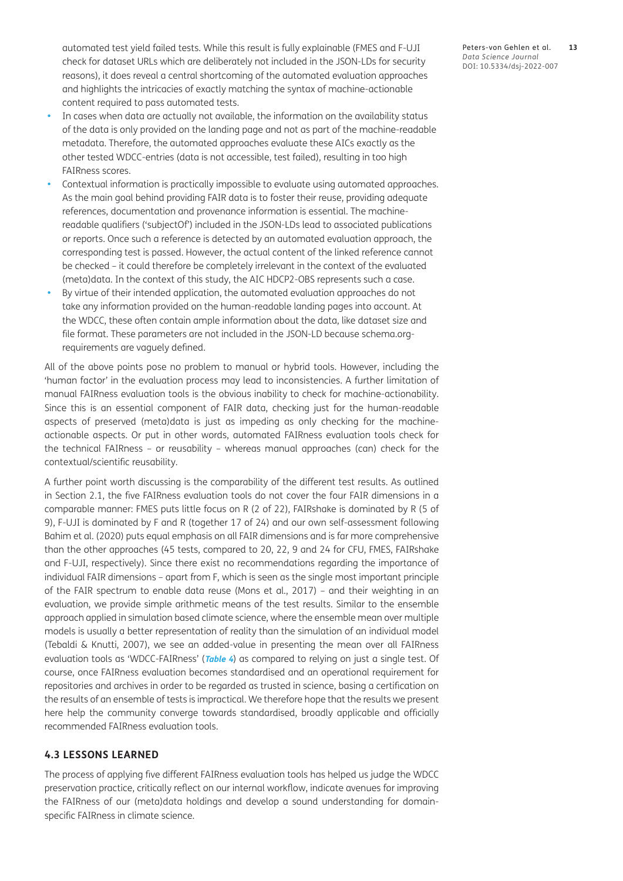automated test yield failed tests. While this result is fully explainable (FMES and F-UJI check for dataset URLs which are deliberately not included in the JSON-LDs for security reasons), it does reveal a central shortcoming of the automated evaluation approaches and highlights the intricacies of exactly matching the syntax of machine-actionable content required to pass automated tests.

- In cases when data are actually not available, the information on the availability status of the data is only provided on the landing page and not as part of the machine-readable metadata. Therefore, the automated approaches evaluate these AICs exactly as the other tested WDCC-entries (data is not accessible, test failed), resulting in too high FAIRness scores.
- Contextual information is practically impossible to evaluate using automated approaches. As the main goal behind providing FAIR data is to foster their reuse, providing adequate references, documentation and provenance information is essential. The machinereadable qualifiers ('subjectOf') included in the JSON-LDs lead to associated publications or reports. Once such a reference is detected by an automated evaluation approach, the corresponding test is passed. However, the actual content of the linked reference cannot be checked – it could therefore be completely irrelevant in the context of the evaluated (meta)data. In the context of this study, the AIC HDCP2-OBS represents such a case.
- By virtue of their intended application, the automated evaluation approaches do not take any information provided on the human-readable landing pages into account. At the WDCC, these often contain ample information about the data, like dataset size and file format. These parameters are not included in the JSON-LD because schema.orgrequirements are vaguely defined.

All of the above points pose no problem to manual or hybrid tools. However, including the 'human factor' in the evaluation process may lead to inconsistencies. A further limitation of manual FAIRness evaluation tools is the obvious inability to check for machine-actionability. Since this is an essential component of FAIR data, checking just for the human-readable aspects of preserved (meta)data is just as impeding as only checking for the machineactionable aspects. Or put in other words, automated FAIRness evaluation tools check for the technical FAIRness – or reusability – whereas manual approaches (can) check for the contextual/scientific reusability.

A further point worth discussing is the comparability of the different test results. As outlined in Section 2.1, the five FAIRness evaluation tools do not cover the four FAIR dimensions in a comparable manner: FMES puts little focus on R (2 of 22), FAIRshake is dominated by R (5 of 9), F-UJI is dominated by F and R (together 17 of 24) and our own self-assessment following [Bahim et al. \(2020\)](#page-17-1) puts equal emphasis on all FAIR dimensions and is far more comprehensive than the other approaches (45 tests, compared to 20, 22, 9 and 24 for CFU, FMES, FAIRshake and F-UJI, respectively). Since there exist no recommendations regarding the importance of individual FAIR dimensions – apart from F, which is seen as the single most important principle of the FAIR spectrum to enable data reuse [\(Mons et al., 2017\)](#page-19-0) – and their weighting in an evaluation, we provide simple arithmetic means of the test results. Similar to the ensemble approach applied in simulation based climate science, where the ensemble mean over multiple models is usually a better representation of reality than the simulation of an individual model [\(Tebaldi & Knutti, 2007](#page-20-0)), we see an added-value in presenting the mean over all FAIRness evaluation tools as 'WDCC-FAIRness' (**[Table 4](#page-10-0)**) as compared to relying on just a single test. Of course, once FAIRness evaluation becomes standardised and an operational requirement for repositories and archives in order to be regarded as trusted in science, basing a certification on the results of an ensemble of tests is impractical. We therefore hope that the results we present here help the community converge towards standardised, broadly applicable and officially recommended FAIRness evaluation tools.

### **4.3 LESSONS LEARNED**

The process of applying five different FAIRness evaluation tools has helped us judge the WDCC preservation practice, critically reflect on our internal workflow, indicate avenues for improving the FAIRness of our (meta)data holdings and develop a sound understanding for domainspecific FAIRness in climate science.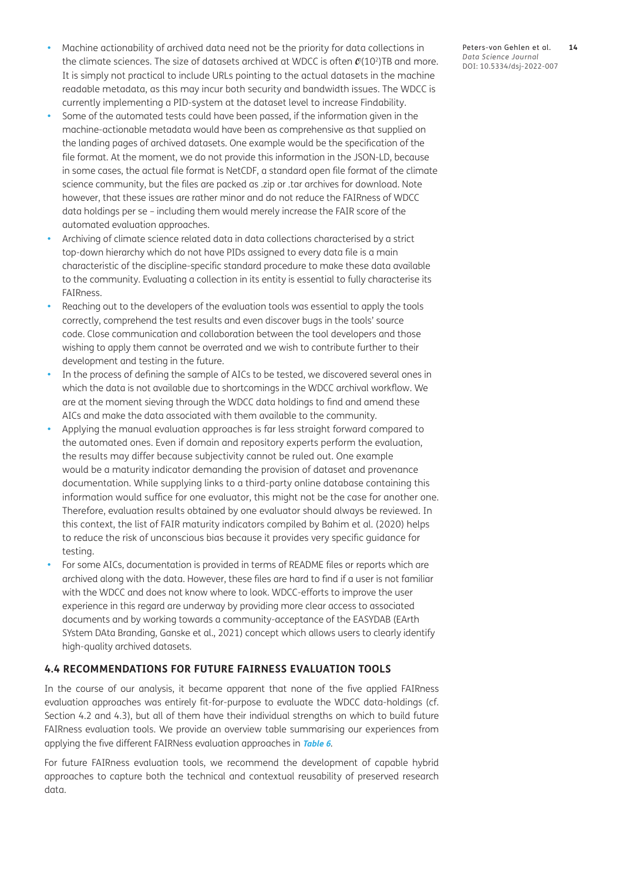- Machine actionability of archived data need not be the priority for data collections in the climate sciences. The size of datasets archived at WDCC is often  $\mathcal{O}(10^2)$ TB and more. It is simply not practical to include URLs pointing to the actual datasets in the machine readable metadata, as this may incur both security and bandwidth issues. The WDCC is currently implementing a PID-system at the dataset level to increase Findability.
- Some of the automated tests could have been passed, if the information given in the machine-actionable metadata would have been as comprehensive as that supplied on the landing pages of archived datasets. One example would be the specification of the file format. At the moment, we do not provide this information in the JSON-LD, because in some cases, the actual file format is NetCDF, a standard open file format of the climate science community, but the files are packed as .zip or .tar archives for download. Note however, that these issues are rather minor and do not reduce the FAIRness of WDCC data holdings per se – including them would merely increase the FAIR score of the automated evaluation approaches.
- Archiving of climate science related data in data collections characterised by a strict top-down hierarchy which do not have PIDs assigned to every data file is a main characteristic of the discipline-specific standard procedure to make these data available to the community. Evaluating a collection in its entity is essential to fully characterise its FAIRness.
- Reaching out to the developers of the evaluation tools was essential to apply the tools correctly, comprehend the test results and even discover bugs in the tools' source code. Close communication and collaboration between the tool developers and those wishing to apply them cannot be overrated and we wish to contribute further to their development and testing in the future.
- In the process of defining the sample of AICs to be tested, we discovered several ones in which the data is not available due to shortcomings in the WDCC archival workflow. We are at the moment sieving through the WDCC data holdings to find and amend these AICs and make the data associated with them available to the community.
- Applying the manual evaluation approaches is far less straight forward compared to the automated ones. Even if domain and repository experts perform the evaluation, the results may differ because subjectivity cannot be ruled out. One example would be a maturity indicator demanding the provision of dataset and provenance documentation. While supplying links to a third-party online database containing this information would suffice for one evaluator, this might not be the case for another one. Therefore, evaluation results obtained by one evaluator should always be reviewed. In this context, the list of FAIR maturity indicators compiled by [Bahim et al. \(2020\)](#page-17-1) helps to reduce the risk of unconscious bias because it provides very specific guidance for testing.
- For some AICs, documentation is provided in terms of README files or reports which are archived along with the data. However, these files are hard to find if a user is not familiar with the WDCC and does not know where to look. WDCC-efforts to improve the user experience in this regard are underway by providing more clear access to associated documents and by working towards a community-acceptance of the EASYDAB (EArth SYstem DAta Branding, [Ganske et al., 2021](#page-18-0)) concept which allows users to clearly identify high-quality archived datasets.

# **4.4 RECOMMENDATIONS FOR FUTURE FAIRNESS EVALUATION TOOLS**

In the course of our analysis, it became apparent that none of the five applied FAIRness evaluation approaches was entirely fit-for-purpose to evaluate the WDCC data-holdings (cf. Section 4.2 and 4.3), but all of them have their individual strengths on which to build future FAIRness evaluation tools. We provide an overview table summarising our experiences from applying the five different FAIRNess evaluation approaches in **[Table 6](#page-14-0)**.

For future FAIRness evaluation tools, we recommend the development of capable hybrid approaches to capture both the technical and contextual reusability of preserved research data.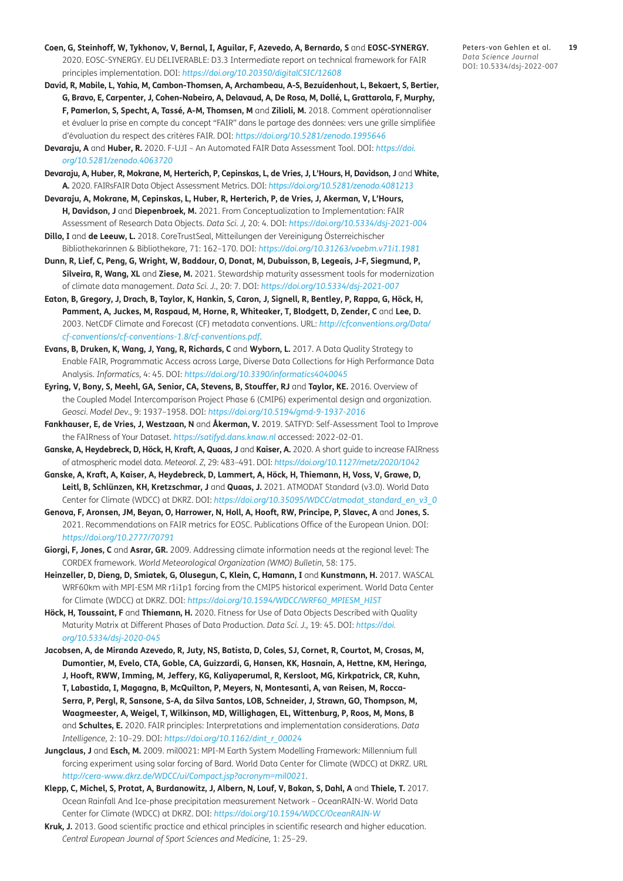- <span id="page-18-0"></span>**Coen, G, Steinhoff, W, Tykhonov, V, Bernal, I, Aguilar, F, Azevedo, A, Bernardo, S** and **EOSC-SYNERGY.** 2020. EOSC-SYNERGY. EU DELIVERABLE: D3.3 Intermediate report on technical framework for FAIR principles implementation. DOI: *<https://doi.org/10.20350/digitalCSIC/12608>*
- **David, R, Mabile, L, Yahia, M, Cambon-Thomsen, A, Archambeau, A-S, Bezuidenhout, L, Bekaert, S, Bertier, G, Bravo, E, Carpenter, J, Cohen-Nabeiro, A, Delavaud, A, De Rosa, M, Dollé, L, Grattarola, F, Murphy, F, Pamerlon, S, Specht, A, Tassé, A-M, Thomsen, M** and **Zilioli, M.** 2018. Comment opérationnaliser et évaluer la prise en compte du concept "FAIR" dans le partage des données: vers une grille simplifiée d'évaluation du respect des critères FAIR. DOI: *<https://doi.org/10.5281/zenodo.1995646>*
- **Devaraju, A** and **Huber, R.** 2020. F-UJI An Automated FAIR Data Assessment Tool. DOI: *[https://doi.](https://doi.org/10.5281/zenodo.4063720) [org/10.5281/zenodo.4063720](https://doi.org/10.5281/zenodo.4063720)*
- **Devaraju, A, Huber, R, Mokrane, M, Herterich, P, Cepinskas, L, de Vries, J, L'Hours, H, Davidson, J** and **White, A.** 2020. FAIRsFAIR Data Object Assessment Metrics. DOI: *<https://doi.org/10.5281/zenodo.4081213>*
- **Devaraju, A, Mokrane, M, Cepinskas, L, Huber, R, Herterich, P, de Vries, J, Akerman, V, L'Hours, H, Davidson, J** and **Diepenbroek, M.** 2021. From Conceptualization to Implementation: FAIR Assessment of Research Data Objects. *Data Sci. J,* 20: 4. DOI: *<https://doi.org/10.5334/dsj-2021-004>*
- **Dillo, I** and **de Leeuw, L.** 2018. CoreTrustSeal, Mitteilungen der Vereinigung Österreichischer Bibliothekarinnen & Bibliothekare, 71: 162–170. DOI: *<https://doi.org/10.31263/voebm.v71i1.1981>*
- **Dunn, R, Lief, C, Peng, G, Wright, W, Baddour, O, Donat, M, Dubuisson, B, Legeais, J-F, Siegmund, P, Silveira, R, Wang, XL** and **Ziese, M.** 2021. Stewardship maturity assessment tools for modernization of climate data management. *Data Sci. J*., 20: 7. DOI: *<https://doi.org/10.5334/dsj-2021-007>*
- **Eaton, B, Gregory, J, Drach, B, Taylor, K, Hankin, S, Caron, J, Signell, R, Bentley, P, Rappa, G, Höck, H, Pamment, A, Juckes, M, Raspaud, M, Horne, R, Whiteaker, T, Blodgett, D, Zender, C** and **Lee, D.** 2003. NetCDF Climate and Forecast (CF) metadata conventions. URL: *[http://cfconventions.org/Data/](http://cfconventions.org/Data/cf-conventions/cf-conventions-1.8/cf-conventions.pdf) [cf-conventions/cf-conventions-1.8/cf-conventions.pdf](http://cfconventions.org/Data/cf-conventions/cf-conventions-1.8/cf-conventions.pdf)*.
- **Evans, B, Druken, K, Wang, J, Yang, R, Richards, C** and **Wyborn, L.** 2017. A Data Quality Strategy to Enable FAIR, Programmatic Access across Large, Diverse Data Collections for High Performance Data Analysis. *Informatics,* 4: 45. DOI: *<https://doi.org/10.3390/informatics4040045>*
- **Eyring, V, Bony, S, Meehl, GA, Senior, CA, Stevens, B, Stouffer, RJ** and **Taylor, KE.** 2016. Overview of the Coupled Model Intercomparison Project Phase 6 (CMIP6) experimental design and organization. *Geosci. Model Dev*., 9: 1937–1958. DOI: *<https://doi.org/10.5194/gmd-9-1937-2016>*
- **Fankhauser, E, de Vries, J, Westzaan, N** and **Åkerman, V.** 2019. SATFYD: Self-Assessment Tool to Improve the FAIRness of Your Dataset. *<https://satifyd.dans.knaw.nl>* accessed: 2022-02-01.
- **Ganske, A, Heydebreck, D, Höck, H, Kraft, A, Quaas, J** and **Kaiser, A.** 2020. A short guide to increase FAIRness of atmospheric model data. *Meteorol. Z,* 29: 483–491. DOI: *<https://doi.org/10.1127/metz/2020/1042>*
- **Ganske, A, Kraft, A, Kaiser, A, Heydebreck, D, Lammert, A, Höck, H, Thiemann, H, Voss, V, Grawe, D, Leitl, B, Schlünzen, KH, Kretzschmar, J** and **Quaas, J.** 2021. ATMODAT Standard (v3.0). World Data Center for Climate (WDCC) at DKRZ. DOI: *[https://doi.org/10.35095/WDCC/atmodat\\_standard\\_en\\_v3\\_0](https://doi.org/10.35095/WDCC/atmodat_standard_en_v3_0)*
- **Genova, F, Aronsen, JM, Beyan, O, Harrower, N, Holl, A, Hooft, RW, Principe, P, Slavec, A** and **Jones, S.** 2021. Recommendations on FAIR metrics for EOSC. Publications Office of the European Union. DOI: *<https://doi.org/10.2777/70791>*
- **Giorgi, F, Jones, C** and **Asrar, GR.** 2009. Addressing climate information needs at the regional level: The CORDEX framework. *World Meteorological Organization (WMO) Bulletin*, 58: 175.
- **Heinzeller, D, Dieng, D, Smiatek, G, Olusegun, C, Klein, C, Hamann, I** and **Kunstmann, H.** 2017. WASCAL WRF60km with MPI-ESM MR r1i1p1 forcing from the CMIP5 historical experiment. World Data Center for Climate (WDCC) at DKRZ. DOI: *[https://doi.org/10.1594/WDCC/WRF60\\_MPIESM\\_HIST](https://doi.org/10.1594/WDCC/WRF60_MPIESM_HIST)*
- **Höck, H, Toussaint, F** and **Thiemann, H.** 2020. Fitness for Use of Data Objects Described with Quality Maturity Matrix at Different Phases of Data Production. *Data Sci. J.,* 19: 45. DOI: *[https://doi.](https://doi.org/10.5334/dsj-2020-045) [org/10.5334/dsj-2020-045](https://doi.org/10.5334/dsj-2020-045)*
- **Jacobsen, A, de Miranda Azevedo, R, Juty, NS, Batista, D, Coles, SJ, Cornet, R, Courtot, M, Crosas, M, Dumontier, M, Evelo, CTA, Goble, CA, Guizzardi, G, Hansen, KK, Hasnain, A, Hettne, KM, Heringa, J, Hooft, RWW, Imming, M, Jeffery, KG, Kaliyaperumal, R, Kersloot, MG, Kirkpatrick, CR, Kuhn, T, Labastida, I, Magagna, B, McQuilton, P, Meyers, N, Montesanti, A, van Reisen, M, Rocca-Serra, P, Pergl, R, Sansone, S-A, da Silva Santos, LOB, Schneider, J, Strawn, GO, Thompson, M, Waagmeester, A, Weigel, T, Wilkinson, MD, Willighagen, EL, Wittenburg, P, Roos, M, Mons, B**  and **Schultes, E.** 2020. FAIR principles: Interpretations and implementation considerations. *Data Intelligence,* 2: 10–29. DOI: *[https://doi.org/10.1162/dint\\_r\\_00024](https://doi.org/10.1162/dint_r_00024)*
- **Jungclaus, J** and **Esch, M.** 2009. mil0021: MPI-M Earth System Modelling Framework: Millennium full forcing experiment using solar forcing of Bard. World Data Center for Climate (WDCC) at DKRZ. URL *<http://cera-www.dkrz.de/WDCC/ui/Compact.jsp?acronym=mil0021>*.
- **Klepp, C, Michel, S, Protat, A, Burdanowitz, J, Albern, N, Louf, V, Bakan, S, Dahl, A** and **Thiele, T.** 2017. Ocean Rainfall And Ice-phase precipitation measurement Network – OceanRAIN-W. World Data Center for Climate (WDCC) at DKRZ. DOI: *<https://doi.org/10.1594/WDCC/OceanRAIN-W>*
- **Kruk, J.** 2013. Good scientific practice and ethical principles in scientific research and higher education. *Central European Journal of Sport Sciences and Medicine,* 1: 25–29.

Peters-von Gehlen et al. **19** *Data Science Journal* DOI: 10.5334/dsj-2022-007